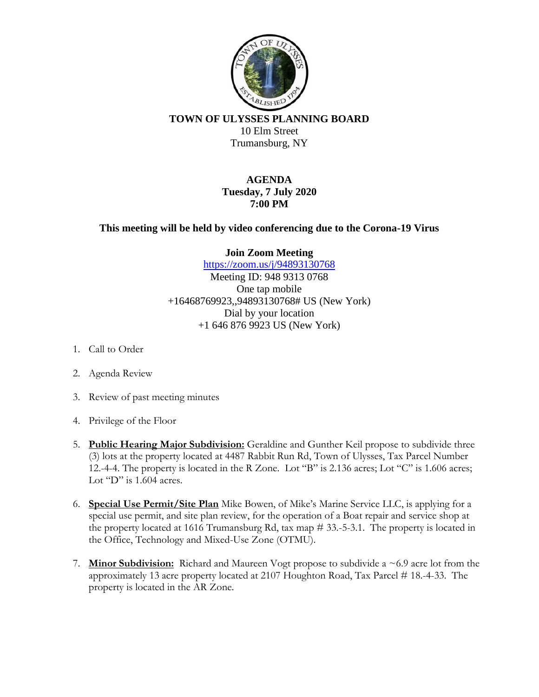

**TOWN OF ULYSSES PLANNING BOARD** 10 Elm Street Trumansburg, NY

> **AGENDA Tuesday, 7 July 2020 7:00 PM**

**This meeting will be held by video conferencing due to the Corona-19 Virus**

**Join Zoom Meeting**

<https://zoom.us/j/94893130768> Meeting ID: 948 9313 0768 One tap mobile +16468769923,,94893130768# US (New York) Dial by your location +1 646 876 9923 US (New York)

- 1. Call to Order
- 2. Agenda Review
- 3. Review of past meeting minutes
- 4. Privilege of the Floor
- 5. **Public Hearing Major Subdivision:** Geraldine and Gunther Keil propose to subdivide three (3) lots at the property located at 4487 Rabbit Run Rd, Town of Ulysses, Tax Parcel Number 12.-4-4. The property is located in the R Zone. Lot "B" is 2.136 acres; Lot "C" is 1.606 acres; Lot "D" is 1.604 acres.
- 6. **Special Use Permit/Site Plan** Mike Bowen, of Mike's Marine Service LLC, is applying for a special use permit, and site plan review, for the operation of a Boat repair and service shop at the property located at 1616 Trumansburg Rd, tax map # 33.-5-3.1. The property is located in the Office, Technology and Mixed-Use Zone (OTMU).
- 7. **Minor Subdivision:** Richard and Maureen Vogt propose to subdivide a ~6.9 acre lot from the approximately 13 acre property located at 2107 Houghton Road, Tax Parcel # 18.-4-33. The property is located in the AR Zone.